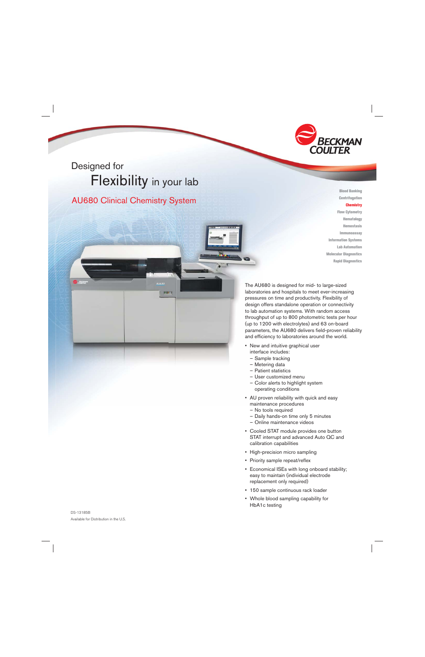

# Designed for Flexibility in your lab

# AU680 Clinical Chemistry System

**EULT** 

**Centrifugation Chemistry** Flow Cytometry Hematology Hemostasis Immunoassay Information Systems Lab Automation Molecular Diagnostics

Blood Banking

Rapid Diagnostics

The AU680 is designed for mid- to large-sized laboratories and hospitals to meet ever-increasing pressures on time and productivity. Flexibility of design offers standalone operation or connectivity to lab automation systems. With random access throughput of up to 800 photometric tests per hour (up to 1200 with electrolytes) and 63 on-board parameters, the AU680 delivers field-proven reliability and efficiency to laboratories around the world.

- New and intuitive graphical user interface includes:
	- Sample tracking
	- Metering data
	- Patient statistics
	- User customized menu
	- Color alerts to highlight system operating conditions
- AU proven reliability with quick and easy maintenance procedures
	- No tools required
	- Daily hands-on time only 5 minutes
	- Online maintenance videos
- Cooled STAT module provides one button STAT interrupt and advanced Auto QC and calibration capabilities
- High-precision micro sampling
- Priority sample repeat/reflex
- Economical ISEs with long onboard stability; easy to maintain (individual electrode replacement only required)
- 150 sample continuous rack loader
- Whole blood sampling capability for HbA1c testing